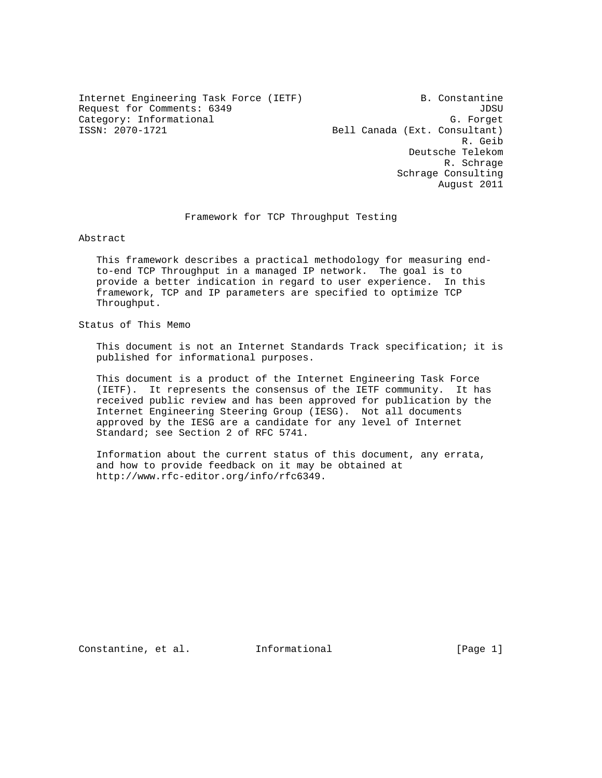Internet Engineering Task Force (IETF) B. Constantine Request for Comments: 6349 JDSU Category: Informational G. Forget<br>ISSN: 2070-1721 Canada (Ext. Consultant)

Bell Canada (Ext. Consultant) R. Geib Deutsche Telekom R. Schrage Schrage Consulting August 2011

Framework for TCP Throughput Testing

Abstract

 This framework describes a practical methodology for measuring end to-end TCP Throughput in a managed IP network. The goal is to provide a better indication in regard to user experience. In this framework, TCP and IP parameters are specified to optimize TCP Throughput.

Status of This Memo

 This document is not an Internet Standards Track specification; it is published for informational purposes.

 This document is a product of the Internet Engineering Task Force (IETF). It represents the consensus of the IETF community. It has received public review and has been approved for publication by the Internet Engineering Steering Group (IESG). Not all documents approved by the IESG are a candidate for any level of Internet Standard; see Section 2 of RFC 5741.

 Information about the current status of this document, any errata, and how to provide feedback on it may be obtained at http://www.rfc-editor.org/info/rfc6349.

Constantine, et al. Informational [Page 1]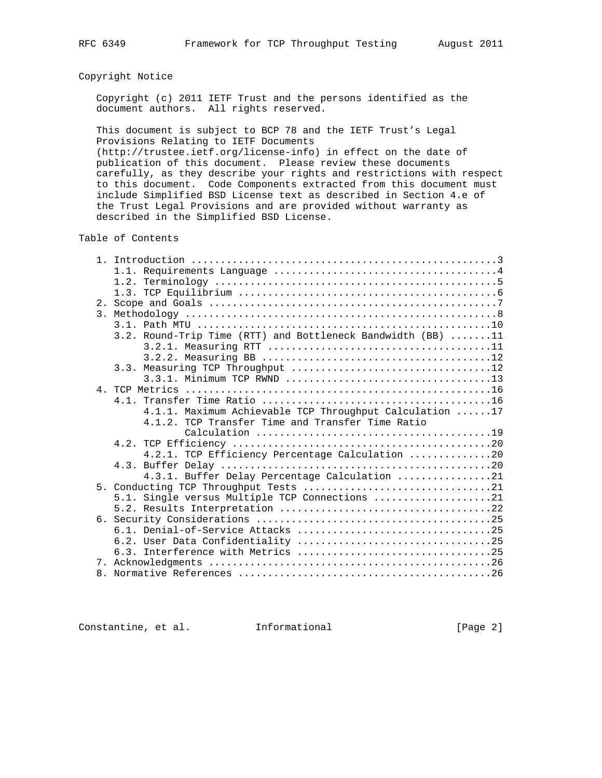# Copyright Notice

 Copyright (c) 2011 IETF Trust and the persons identified as the document authors. All rights reserved.

 This document is subject to BCP 78 and the IETF Trust's Legal Provisions Relating to IETF Documents

 (http://trustee.ietf.org/license-info) in effect on the date of publication of this document. Please review these documents carefully, as they describe your rights and restrictions with respect to this document. Code Components extracted from this document must include Simplified BSD License text as described in Section 4.e of the Trust Legal Provisions and are provided without warranty as described in the Simplified BSD License.

Table of Contents

| 3. |                                                             |
|----|-------------------------------------------------------------|
|    |                                                             |
|    | 3.2. Round-Trip Time (RTT) and Bottleneck Bandwidth (BB) 11 |
|    |                                                             |
|    |                                                             |
|    |                                                             |
|    |                                                             |
|    |                                                             |
|    |                                                             |
|    | 4.1.1. Maximum Achievable TCP Throughput Calculation 17     |
|    | 4.1.2. TCP Transfer Time and Transfer Time Ratio            |
|    |                                                             |
|    |                                                             |
|    | 4.2.1. TCP Efficiency Percentage Calculation 20             |
|    |                                                             |
|    | 4.3.1. Buffer Delay Percentage Calculation 21               |
|    |                                                             |
|    | 5.1. Single versus Multiple TCP Connections 21              |
|    |                                                             |
|    |                                                             |
|    |                                                             |
|    |                                                             |
|    |                                                             |
|    |                                                             |
|    |                                                             |

Constantine, et al. Informational [Page 2]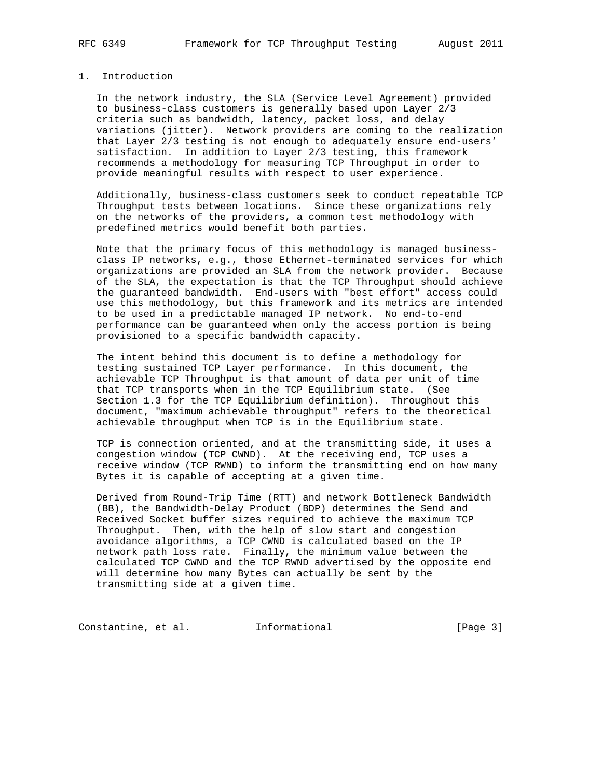## 1. Introduction

 In the network industry, the SLA (Service Level Agreement) provided to business-class customers is generally based upon Layer 2/3 criteria such as bandwidth, latency, packet loss, and delay variations (jitter). Network providers are coming to the realization that Layer 2/3 testing is not enough to adequately ensure end-users' satisfaction. In addition to Layer 2/3 testing, this framework recommends a methodology for measuring TCP Throughput in order to provide meaningful results with respect to user experience.

 Additionally, business-class customers seek to conduct repeatable TCP Throughput tests between locations. Since these organizations rely on the networks of the providers, a common test methodology with predefined metrics would benefit both parties.

 Note that the primary focus of this methodology is managed business class IP networks, e.g., those Ethernet-terminated services for which organizations are provided an SLA from the network provider. Because of the SLA, the expectation is that the TCP Throughput should achieve the guaranteed bandwidth. End-users with "best effort" access could use this methodology, but this framework and its metrics are intended to be used in a predictable managed IP network. No end-to-end performance can be guaranteed when only the access portion is being provisioned to a specific bandwidth capacity.

 The intent behind this document is to define a methodology for testing sustained TCP Layer performance. In this document, the achievable TCP Throughput is that amount of data per unit of time that TCP transports when in the TCP Equilibrium state. (See Section 1.3 for the TCP Equilibrium definition). Throughout this document, "maximum achievable throughput" refers to the theoretical achievable throughput when TCP is in the Equilibrium state.

 TCP is connection oriented, and at the transmitting side, it uses a congestion window (TCP CWND). At the receiving end, TCP uses a receive window (TCP RWND) to inform the transmitting end on how many Bytes it is capable of accepting at a given time.

 Derived from Round-Trip Time (RTT) and network Bottleneck Bandwidth (BB), the Bandwidth-Delay Product (BDP) determines the Send and Received Socket buffer sizes required to achieve the maximum TCP Throughput. Then, with the help of slow start and congestion avoidance algorithms, a TCP CWND is calculated based on the IP network path loss rate. Finally, the minimum value between the calculated TCP CWND and the TCP RWND advertised by the opposite end will determine how many Bytes can actually be sent by the transmitting side at a given time.

Constantine, et al. 1nformational [Page 3]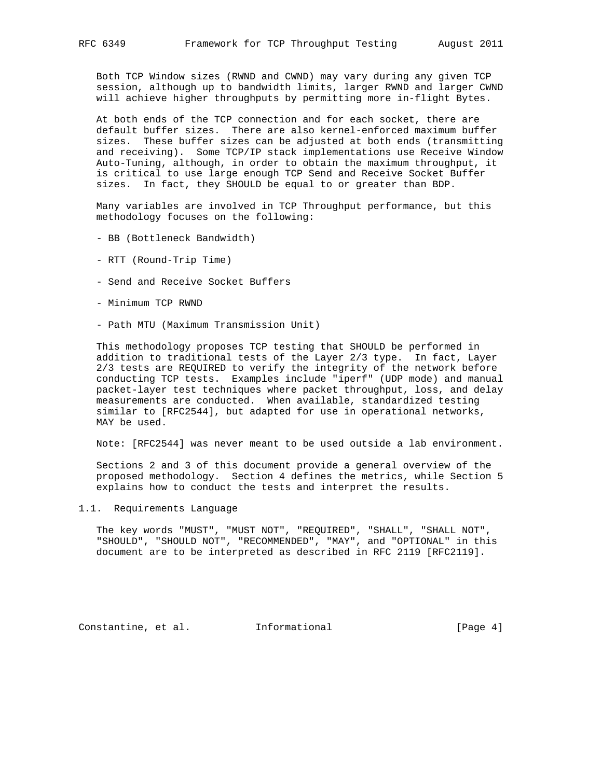Both TCP Window sizes (RWND and CWND) may vary during any given TCP session, although up to bandwidth limits, larger RWND and larger CWND will achieve higher throughputs by permitting more in-flight Bytes.

 At both ends of the TCP connection and for each socket, there are default buffer sizes. There are also kernel-enforced maximum buffer sizes. These buffer sizes can be adjusted at both ends (transmitting and receiving). Some TCP/IP stack implementations use Receive Window Auto-Tuning, although, in order to obtain the maximum throughput, it is critical to use large enough TCP Send and Receive Socket Buffer sizes. In fact, they SHOULD be equal to or greater than BDP.

 Many variables are involved in TCP Throughput performance, but this methodology focuses on the following:

- BB (Bottleneck Bandwidth)
- RTT (Round-Trip Time)
- Send and Receive Socket Buffers
- Minimum TCP RWND
- Path MTU (Maximum Transmission Unit)

 This methodology proposes TCP testing that SHOULD be performed in addition to traditional tests of the Layer 2/3 type. In fact, Layer 2/3 tests are REQUIRED to verify the integrity of the network before conducting TCP tests. Examples include "iperf" (UDP mode) and manual packet-layer test techniques where packet throughput, loss, and delay measurements are conducted. When available, standardized testing similar to [RFC2544], but adapted for use in operational networks, MAY be used.

Note: [RFC2544] was never meant to be used outside a lab environment.

 Sections 2 and 3 of this document provide a general overview of the proposed methodology. Section 4 defines the metrics, while Section 5 explains how to conduct the tests and interpret the results.

1.1. Requirements Language

 The key words "MUST", "MUST NOT", "REQUIRED", "SHALL", "SHALL NOT", "SHOULD", "SHOULD NOT", "RECOMMENDED", "MAY", and "OPTIONAL" in this document are to be interpreted as described in RFC 2119 [RFC2119].

Constantine, et al. Informational [Page 4]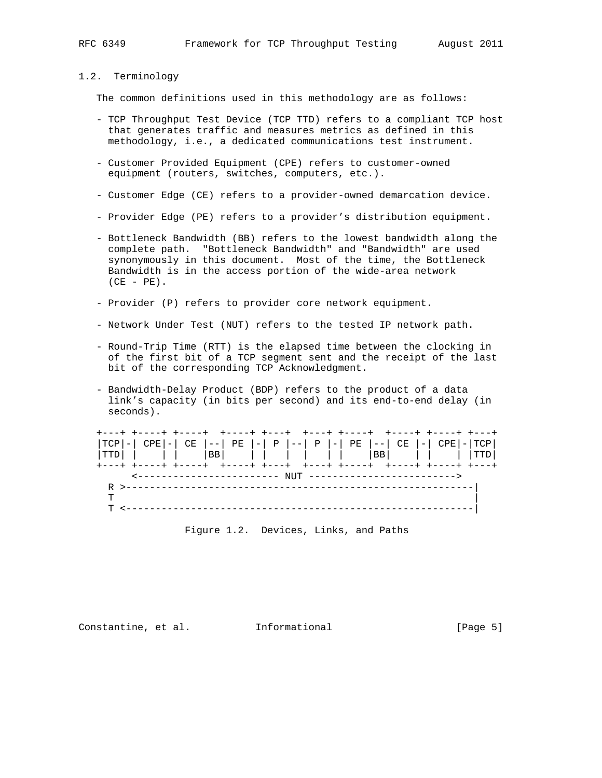## 1.2. Terminology

The common definitions used in this methodology are as follows:

- TCP Throughput Test Device (TCP TTD) refers to a compliant TCP host that generates traffic and measures metrics as defined in this methodology, i.e., a dedicated communications test instrument.
- Customer Provided Equipment (CPE) refers to customer-owned equipment (routers, switches, computers, etc.).
- Customer Edge (CE) refers to a provider-owned demarcation device.
- Provider Edge (PE) refers to a provider's distribution equipment.
- Bottleneck Bandwidth (BB) refers to the lowest bandwidth along the complete path. "Bottleneck Bandwidth" and "Bandwidth" are used synonymously in this document. Most of the time, the Bottleneck Bandwidth is in the access portion of the wide-area network  $(CE - PE)$ .
- Provider (P) refers to provider core network equipment.
- Network Under Test (NUT) refers to the tested IP network path.
- Round-Trip Time (RTT) is the elapsed time between the clocking in of the first bit of a TCP segment sent and the receipt of the last bit of the corresponding TCP Acknowledgment.
- Bandwidth-Delay Product (BDP) refers to the product of a data link's capacity (in bits per second) and its end-to-end delay (in seconds).

| ---+ +----+ +-----+ +-----+ +---+ +----+ +----+ +----+ +----+ +----+ +-                       |               |  |
|-----------------------------------------------------------------------------------------------|---------------|--|
| $ TCP  -   CPE  -   CE   --   PE   -   P   --   P   --   PE   --   CE   --   CPE   -   CPE  $ |               |  |
|                                                                                               |               |  |
| ---+ +----+ +----+ +----+ +---+ +---+ +----+ +----+ +----+ +----+                             |               |  |
|                                                                                               |               |  |
|                                                                                               |               |  |
|                                                                                               |               |  |
|                                                                                               | _____________ |  |

Figure 1.2. Devices, Links, and Paths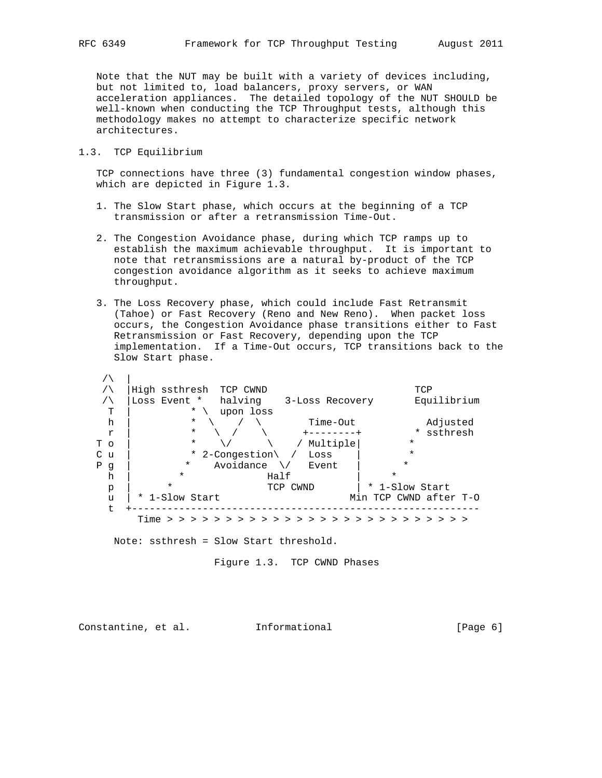Note that the NUT may be built with a variety of devices including, but not limited to, load balancers, proxy servers, or WAN acceleration appliances. The detailed topology of the NUT SHOULD be well-known when conducting the TCP Throughput tests, although this methodology makes no attempt to characterize specific network architectures.

## 1.3. TCP Equilibrium

 TCP connections have three (3) fundamental congestion window phases, which are depicted in Figure 1.3.

- 1. The Slow Start phase, which occurs at the beginning of a TCP transmission or after a retransmission Time-Out.
- 2. The Congestion Avoidance phase, during which TCP ramps up to establish the maximum achievable throughput. It is important to note that retransmissions are a natural by-product of the TCP congestion avoidance algorithm as it seeks to achieve maximum throughput.
- 3. The Loss Recovery phase, which could include Fast Retransmit (Tahoe) or Fast Recovery (Reno and New Reno). When packet loss occurs, the Congestion Avoidance phase transitions either to Fast Retransmission or Fast Recovery, depending upon the TCP implementation. If a Time-Out occurs, TCP transitions back to the Slow Start phase.

|              | High ssthresh                            | TCP CWND      |                     |                        | TCP           |
|--------------|------------------------------------------|---------------|---------------------|------------------------|---------------|
|              | Loss Event *                             | halving       | 3-Loss Recovery     |                        | Equilibrium   |
| т            | $\ast$                                   | upon loss     |                     |                        |               |
| h            | $\star$                                  |               | Time-Out            |                        | Adjusted      |
| r            | $\star$                                  |               | $+ - - - - - - - +$ | $\ast$                 | ssthresh      |
| T o          | $\star$                                  |               | Multiple            | $\star$                |               |
| C<br>u       | $\star$                                  | 2-Congestion\ | Loss                | $\star$                |               |
| Ρ<br>g       | *                                        | Avoidance     | Event               | *                      |               |
| h            | $\star$                                  | Half          |                     | $\star$                |               |
| $\mathbf{p}$ | $\star$                                  | TCP CWND      |                     | * 1-Slow Start         |               |
| u            | * 1-Slow Start                           |               |                     | Min TCP CWND after T-O |               |
|              |                                          |               |                     |                        |               |
|              | Time > > > > > > > > > > > > > > > > > > |               |                     |                        | > > > > > > > |

Note: ssthresh = Slow Start threshold.

Figure 1.3. TCP CWND Phases

Constantine, et al. Informational [Page 6]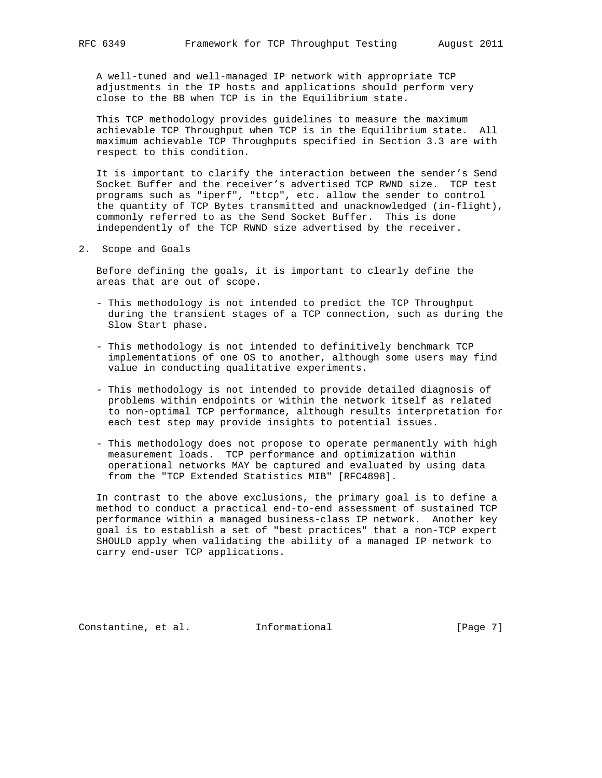A well-tuned and well-managed IP network with appropriate TCP adjustments in the IP hosts and applications should perform very close to the BB when TCP is in the Equilibrium state.

 This TCP methodology provides guidelines to measure the maximum achievable TCP Throughput when TCP is in the Equilibrium state. All maximum achievable TCP Throughputs specified in Section 3.3 are with respect to this condition.

 It is important to clarify the interaction between the sender's Send Socket Buffer and the receiver's advertised TCP RWND size. TCP test programs such as "iperf", "ttcp", etc. allow the sender to control the quantity of TCP Bytes transmitted and unacknowledged (in-flight), commonly referred to as the Send Socket Buffer. This is done independently of the TCP RWND size advertised by the receiver.

2. Scope and Goals

 Before defining the goals, it is important to clearly define the areas that are out of scope.

- This methodology is not intended to predict the TCP Throughput during the transient stages of a TCP connection, such as during the Slow Start phase.
- This methodology is not intended to definitively benchmark TCP implementations of one OS to another, although some users may find value in conducting qualitative experiments.
- This methodology is not intended to provide detailed diagnosis of problems within endpoints or within the network itself as related to non-optimal TCP performance, although results interpretation for each test step may provide insights to potential issues.
- This methodology does not propose to operate permanently with high measurement loads. TCP performance and optimization within operational networks MAY be captured and evaluated by using data from the "TCP Extended Statistics MIB" [RFC4898].

 In contrast to the above exclusions, the primary goal is to define a method to conduct a practical end-to-end assessment of sustained TCP performance within a managed business-class IP network. Another key goal is to establish a set of "best practices" that a non-TCP expert SHOULD apply when validating the ability of a managed IP network to carry end-user TCP applications.

Constantine, et al. Informational [Page 7]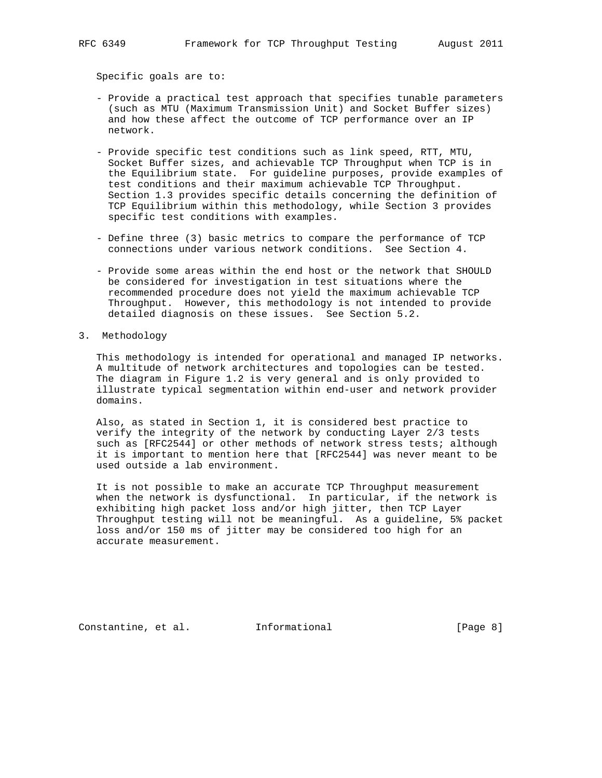Specific goals are to:

- Provide a practical test approach that specifies tunable parameters (such as MTU (Maximum Transmission Unit) and Socket Buffer sizes) and how these affect the outcome of TCP performance over an IP network.
- Provide specific test conditions such as link speed, RTT, MTU, Socket Buffer sizes, and achievable TCP Throughput when TCP is in the Equilibrium state. For guideline purposes, provide examples of test conditions and their maximum achievable TCP Throughput. Section 1.3 provides specific details concerning the definition of TCP Equilibrium within this methodology, while Section 3 provides specific test conditions with examples.
- Define three (3) basic metrics to compare the performance of TCP connections under various network conditions. See Section 4.
- Provide some areas within the end host or the network that SHOULD be considered for investigation in test situations where the recommended procedure does not yield the maximum achievable TCP Throughput. However, this methodology is not intended to provide detailed diagnosis on these issues. See Section 5.2.
- 3. Methodology

 This methodology is intended for operational and managed IP networks. A multitude of network architectures and topologies can be tested. The diagram in Figure 1.2 is very general and is only provided to illustrate typical segmentation within end-user and network provider domains.

 Also, as stated in Section 1, it is considered best practice to verify the integrity of the network by conducting Layer 2/3 tests such as [RFC2544] or other methods of network stress tests; although it is important to mention here that [RFC2544] was never meant to be used outside a lab environment.

 It is not possible to make an accurate TCP Throughput measurement when the network is dysfunctional. In particular, if the network is exhibiting high packet loss and/or high jitter, then TCP Layer Throughput testing will not be meaningful. As a guideline, 5% packet loss and/or 150 ms of jitter may be considered too high for an accurate measurement.

Constantine, et al. Informational [Page 8]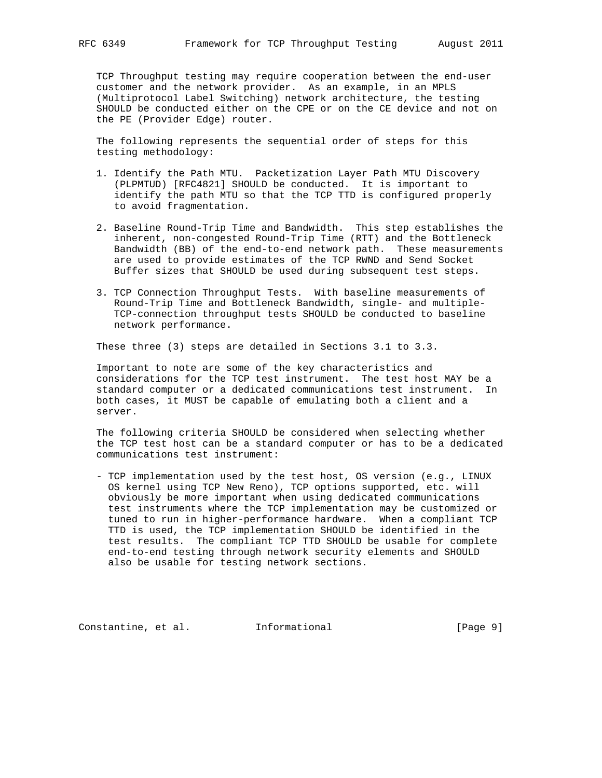TCP Throughput testing may require cooperation between the end-user customer and the network provider. As an example, in an MPLS (Multiprotocol Label Switching) network architecture, the testing SHOULD be conducted either on the CPE or on the CE device and not on the PE (Provider Edge) router.

 The following represents the sequential order of steps for this testing methodology:

- 1. Identify the Path MTU. Packetization Layer Path MTU Discovery (PLPMTUD) [RFC4821] SHOULD be conducted. It is important to identify the path MTU so that the TCP TTD is configured properly to avoid fragmentation.
- 2. Baseline Round-Trip Time and Bandwidth. This step establishes the inherent, non-congested Round-Trip Time (RTT) and the Bottleneck Bandwidth (BB) of the end-to-end network path. These measurements are used to provide estimates of the TCP RWND and Send Socket Buffer sizes that SHOULD be used during subsequent test steps.
- 3. TCP Connection Throughput Tests. With baseline measurements of Round-Trip Time and Bottleneck Bandwidth, single- and multiple- TCP-connection throughput tests SHOULD be conducted to baseline network performance.

These three (3) steps are detailed in Sections 3.1 to 3.3.

 Important to note are some of the key characteristics and considerations for the TCP test instrument. The test host MAY be a standard computer or a dedicated communications test instrument. In both cases, it MUST be capable of emulating both a client and a server.

 The following criteria SHOULD be considered when selecting whether the TCP test host can be a standard computer or has to be a dedicated communications test instrument:

 - TCP implementation used by the test host, OS version (e.g., LINUX OS kernel using TCP New Reno), TCP options supported, etc. will obviously be more important when using dedicated communications test instruments where the TCP implementation may be customized or tuned to run in higher-performance hardware. When a compliant TCP TTD is used, the TCP implementation SHOULD be identified in the test results. The compliant TCP TTD SHOULD be usable for complete end-to-end testing through network security elements and SHOULD also be usable for testing network sections.

Constantine, et al. Informational [Page 9]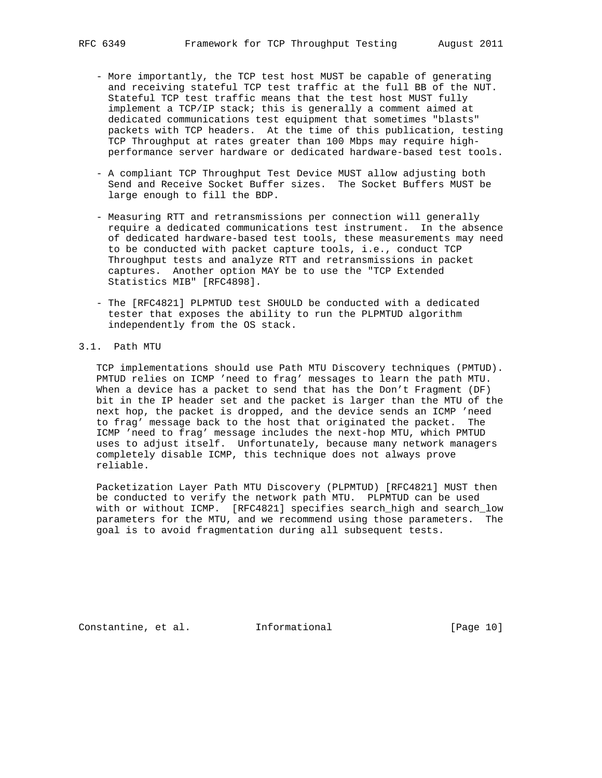- More importantly, the TCP test host MUST be capable of generating and receiving stateful TCP test traffic at the full BB of the NUT. Stateful TCP test traffic means that the test host MUST fully implement a TCP/IP stack; this is generally a comment aimed at dedicated communications test equipment that sometimes "blasts" packets with TCP headers. At the time of this publication, testing TCP Throughput at rates greater than 100 Mbps may require high performance server hardware or dedicated hardware-based test tools.
- A compliant TCP Throughput Test Device MUST allow adjusting both Send and Receive Socket Buffer sizes. The Socket Buffers MUST be large enough to fill the BDP.
- Measuring RTT and retransmissions per connection will generally require a dedicated communications test instrument. In the absence of dedicated hardware-based test tools, these measurements may need to be conducted with packet capture tools, i.e., conduct TCP Throughput tests and analyze RTT and retransmissions in packet captures. Another option MAY be to use the "TCP Extended Statistics MIB" [RFC4898].
- The [RFC4821] PLPMTUD test SHOULD be conducted with a dedicated tester that exposes the ability to run the PLPMTUD algorithm independently from the OS stack.

## 3.1. Path MTU

 TCP implementations should use Path MTU Discovery techniques (PMTUD). PMTUD relies on ICMP 'need to frag' messages to learn the path MTU. When a device has a packet to send that has the Don't Fragment (DF) bit in the IP header set and the packet is larger than the MTU of the next hop, the packet is dropped, and the device sends an ICMP 'need to frag' message back to the host that originated the packet. The ICMP 'need to frag' message includes the next-hop MTU, which PMTUD uses to adjust itself. Unfortunately, because many network managers completely disable ICMP, this technique does not always prove reliable.

 Packetization Layer Path MTU Discovery (PLPMTUD) [RFC4821] MUST then be conducted to verify the network path MTU. PLPMTUD can be used with or without ICMP. [RFC4821] specifies search\_high and search\_low parameters for the MTU, and we recommend using those parameters. The goal is to avoid fragmentation during all subsequent tests.

Constantine, et al. Informational [Page 10]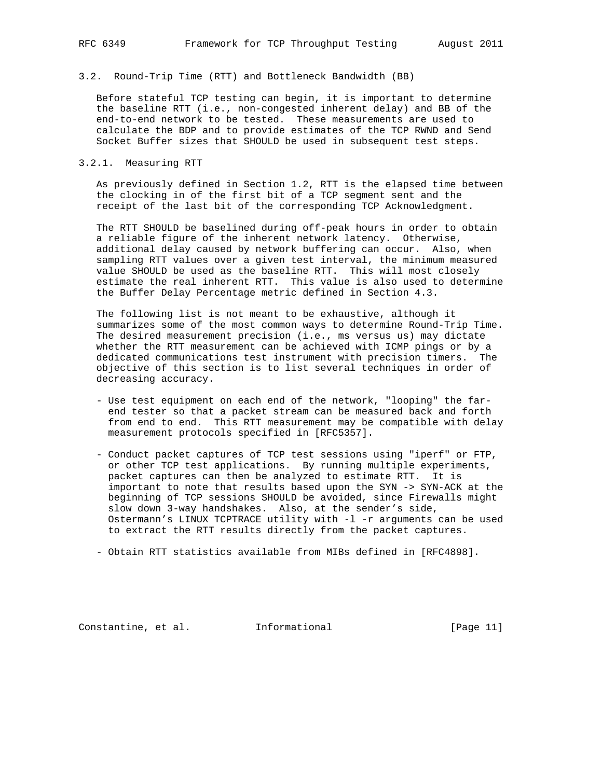3.2. Round-Trip Time (RTT) and Bottleneck Bandwidth (BB)

 Before stateful TCP testing can begin, it is important to determine the baseline RTT (i.e., non-congested inherent delay) and BB of the end-to-end network to be tested. These measurements are used to calculate the BDP and to provide estimates of the TCP RWND and Send Socket Buffer sizes that SHOULD be used in subsequent test steps.

#### 3.2.1. Measuring RTT

 As previously defined in Section 1.2, RTT is the elapsed time between the clocking in of the first bit of a TCP segment sent and the receipt of the last bit of the corresponding TCP Acknowledgment.

 The RTT SHOULD be baselined during off-peak hours in order to obtain a reliable figure of the inherent network latency. Otherwise, additional delay caused by network buffering can occur. Also, when sampling RTT values over a given test interval, the minimum measured value SHOULD be used as the baseline RTT. This will most closely estimate the real inherent RTT. This value is also used to determine the Buffer Delay Percentage metric defined in Section 4.3.

 The following list is not meant to be exhaustive, although it summarizes some of the most common ways to determine Round-Trip Time. The desired measurement precision (i.e., ms versus us) may dictate whether the RTT measurement can be achieved with ICMP pings or by a dedicated communications test instrument with precision timers. The objective of this section is to list several techniques in order of decreasing accuracy.

- Use test equipment on each end of the network, "looping" the far end tester so that a packet stream can be measured back and forth from end to end. This RTT measurement may be compatible with delay measurement protocols specified in [RFC5357].
- Conduct packet captures of TCP test sessions using "iperf" or FTP, or other TCP test applications. By running multiple experiments, packet captures can then be analyzed to estimate RTT. It is important to note that results based upon the SYN -> SYN-ACK at the beginning of TCP sessions SHOULD be avoided, since Firewalls might slow down 3-way handshakes. Also, at the sender's side, Ostermann's LINUX TCPTRACE utility with -l -r arguments can be used to extract the RTT results directly from the packet captures.

- Obtain RTT statistics available from MIBs defined in [RFC4898].

Constantine, et al. Informational [Page 11]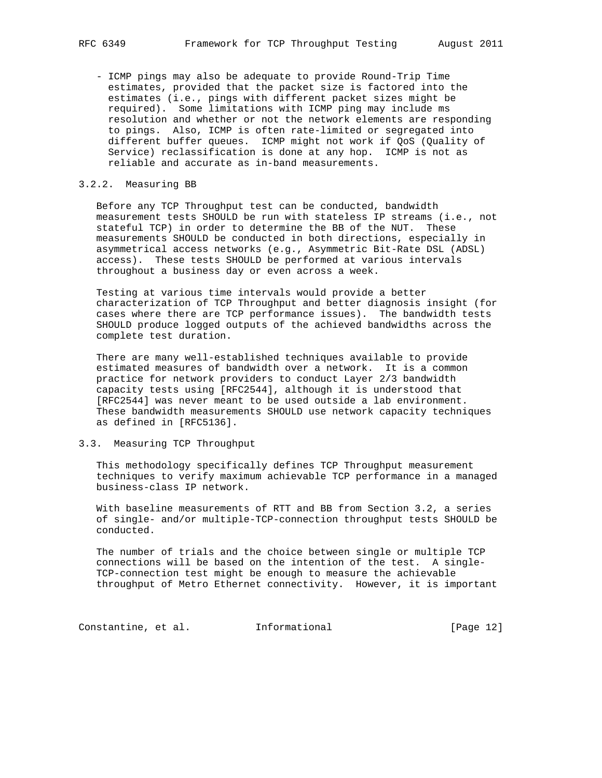- ICMP pings may also be adequate to provide Round-Trip Time estimates, provided that the packet size is factored into the estimates (i.e., pings with different packet sizes might be required). Some limitations with ICMP ping may include ms resolution and whether or not the network elements are responding to pings. Also, ICMP is often rate-limited or segregated into different buffer queues. ICMP might not work if QoS (Quality of Service) reclassification is done at any hop. ICMP is not as reliable and accurate as in-band measurements.

## 3.2.2. Measuring BB

 Before any TCP Throughput test can be conducted, bandwidth measurement tests SHOULD be run with stateless IP streams (i.e., not stateful TCP) in order to determine the BB of the NUT. These measurements SHOULD be conducted in both directions, especially in asymmetrical access networks (e.g., Asymmetric Bit-Rate DSL (ADSL) access). These tests SHOULD be performed at various intervals throughout a business day or even across a week.

 Testing at various time intervals would provide a better characterization of TCP Throughput and better diagnosis insight (for cases where there are TCP performance issues). The bandwidth tests SHOULD produce logged outputs of the achieved bandwidths across the complete test duration.

 There are many well-established techniques available to provide estimated measures of bandwidth over a network. It is a common practice for network providers to conduct Layer 2/3 bandwidth capacity tests using [RFC2544], although it is understood that [RFC2544] was never meant to be used outside a lab environment. These bandwidth measurements SHOULD use network capacity techniques as defined in [RFC5136].

## 3.3. Measuring TCP Throughput

 This methodology specifically defines TCP Throughput measurement techniques to verify maximum achievable TCP performance in a managed business-class IP network.

 With baseline measurements of RTT and BB from Section 3.2, a series of single- and/or multiple-TCP-connection throughput tests SHOULD be conducted.

 The number of trials and the choice between single or multiple TCP connections will be based on the intention of the test. A single- TCP-connection test might be enough to measure the achievable throughput of Metro Ethernet connectivity. However, it is important

Constantine, et al. 1nformational [Page 12]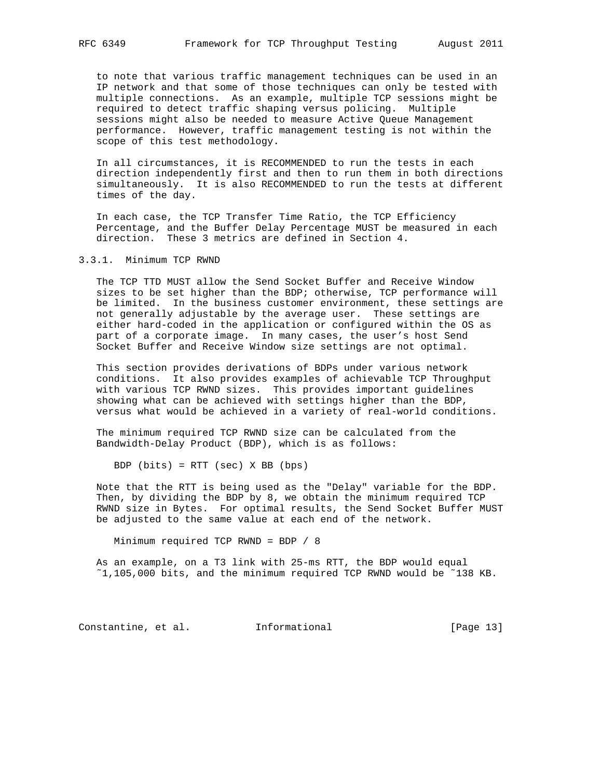to note that various traffic management techniques can be used in an IP network and that some of those techniques can only be tested with multiple connections. As an example, multiple TCP sessions might be required to detect traffic shaping versus policing. Multiple sessions might also be needed to measure Active Queue Management performance. However, traffic management testing is not within the scope of this test methodology.

 In all circumstances, it is RECOMMENDED to run the tests in each direction independently first and then to run them in both directions simultaneously. It is also RECOMMENDED to run the tests at different times of the day.

 In each case, the TCP Transfer Time Ratio, the TCP Efficiency Percentage, and the Buffer Delay Percentage MUST be measured in each direction. These 3 metrics are defined in Section 4.

## 3.3.1. Minimum TCP RWND

 The TCP TTD MUST allow the Send Socket Buffer and Receive Window sizes to be set higher than the BDP; otherwise, TCP performance will be limited. In the business customer environment, these settings are not generally adjustable by the average user. These settings are either hard-coded in the application or configured within the OS as part of a corporate image. In many cases, the user's host Send Socket Buffer and Receive Window size settings are not optimal.

 This section provides derivations of BDPs under various network conditions. It also provides examples of achievable TCP Throughput with various TCP RWND sizes. This provides important guidelines showing what can be achieved with settings higher than the BDP, versus what would be achieved in a variety of real-world conditions.

 The minimum required TCP RWND size can be calculated from the Bandwidth-Delay Product (BDP), which is as follows:

BDP (bits) = RTT (sec) X BB (bps)

 Note that the RTT is being used as the "Delay" variable for the BDP. Then, by dividing the BDP by 8, we obtain the minimum required TCP RWND size in Bytes. For optimal results, the Send Socket Buffer MUST be adjusted to the same value at each end of the network.

Minimum required TCP RWND = BDP / 8

 As an example, on a T3 link with 25-ms RTT, the BDP would equal ˜1,105,000 bits, and the minimum required TCP RWND would be ˜138 KB.

Constantine, et al. 1nformational [Page 13]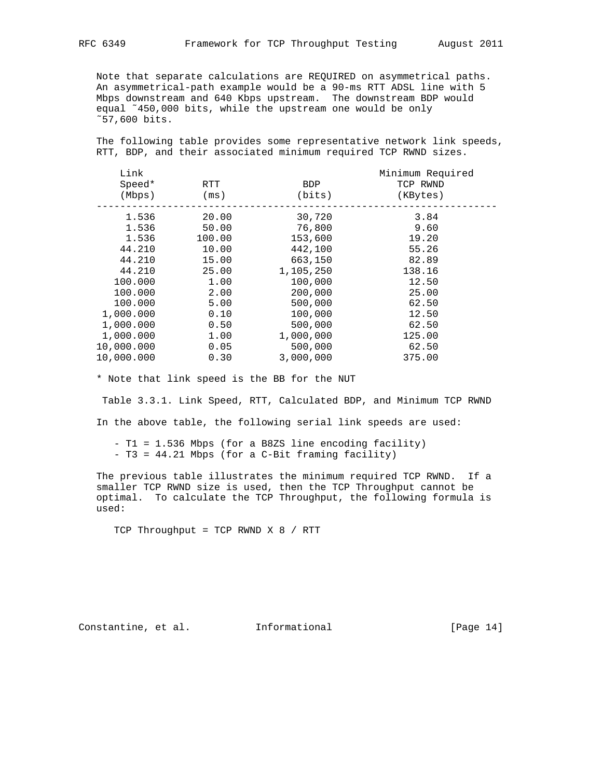Note that separate calculations are REQUIRED on asymmetrical paths. An asymmetrical-path example would be a 90-ms RTT ADSL line with 5 Mbps downstream and 640 Kbps upstream. The downstream BDP would equal ˜450,000 bits, while the upstream one would be only ˜57,600 bits.

 The following table provides some representative network link speeds, RTT, BDP, and their associated minimum required TCP RWND sizes.

| Link       |        |            | Minimum Required |  |
|------------|--------|------------|------------------|--|
| Speed*     | RTT    | <b>BDP</b> | TCP RWND         |  |
| (Mbps)     | (ms)   | (bits)     | (KBytes)         |  |
| 1.536      | 20.00  | 30,720     | 3.84             |  |
| 1.536      | 50.00  | 76,800     | 9.60             |  |
| 1.536      | 100.00 | 153,600    | 19.20            |  |
| 44.210     | 10.00  | 442,100    | 55.26            |  |
| 44.210     | 15.00  | 663,150    | 82.89            |  |
| 44.210     | 25.00  | 1,105,250  | 138.16           |  |
| 100.000    | 1.00   | 100,000    | 12.50            |  |
| 100.000    | 2.00   | 200,000    | 25.00            |  |
| 100.000    | 5.00   | 500,000    | 62.50            |  |
| 1,000.000  | 0.10   | 100,000    | 12.50            |  |
| 1,000.000  | 0.50   | 500,000    | 62.50            |  |
| 1,000.000  | 1.00   | 1,000,000  | 125.00           |  |
| 10,000.000 | 0.05   | 500,000    | 62.50            |  |
| 10,000.000 | 0.30   | 3,000,000  | 375.00           |  |

\* Note that link speed is the BB for the NUT

 Table 3.3.1. Link Speed, RTT, Calculated BDP, and Minimum TCP RWND In the above table, the following serial link speeds are used:

 - T1 = 1.536 Mbps (for a B8ZS line encoding facility) - T3 = 44.21 Mbps (for a C-Bit framing facility)

 The previous table illustrates the minimum required TCP RWND. If a smaller TCP RWND size is used, then the TCP Throughput cannot be optimal. To calculate the TCP Throughput, the following formula is used:

TCP Throughput = TCP RWND X 8 / RTT

Constantine, et al. 1nformational [Page 14]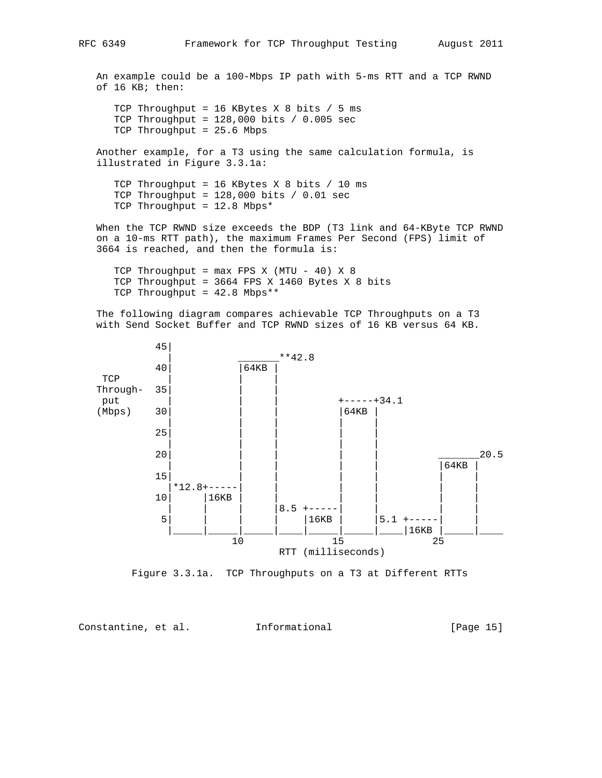An example could be a 100-Mbps IP path with 5-ms RTT and a TCP RWND of 16 KB; then: TCP Throughput = 16 KBytes X 8 bits / 5 ms TCP Throughput = 128,000 bits / 0.005 sec TCP Throughput = 25.6 Mbps Another example, for a T3 using the same calculation formula, is illustrated in Figure 3.3.1a: TCP Throughput = 16 KBytes X 8 bits / 10 ms TCP Throughput =  $128,000$  bits /  $0.01$  sec TCP Throughput = 12.8 Mbps\* When the TCP RWND size exceeds the BDP (T3 link and 64-KByte TCP RWND on a 10-ms RTT path), the maximum Frames Per Second (FPS) limit of 3664 is reached, and then the formula is:

TCP Throughput =  $max$  FPS X (MTU - 40) X 8 TCP Throughput = 3664 FPS X 1460 Bytes X 8 bits TCP Throughput = 42.8 Mbps\*\*

 The following diagram compares achievable TCP Throughputs on a T3 with Send Socket Buffer and TCP RWND sizes of 16 KB versus 64 KB.



Figure 3.3.1a. TCP Throughputs on a T3 at Different RTTs

Constantine, et al. Informational [Page 15]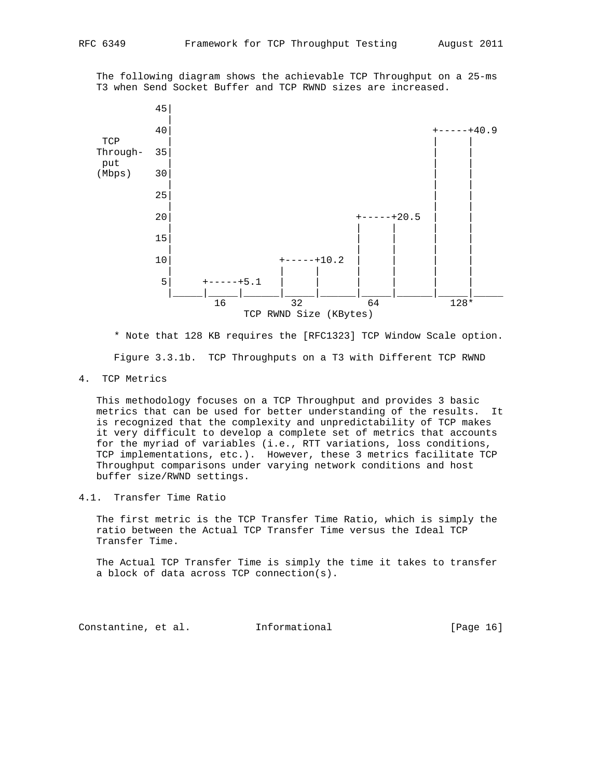The following diagram shows the achievable TCP Throughput on a 25-ms T3 when Send Socket Buffer and TCP RWND sizes are increased.



 \* Note that 128 KB requires the [RFC1323] TCP Window Scale option. Figure 3.3.1b. TCP Throughputs on a T3 with Different TCP RWND

4. TCP Metrics

 This methodology focuses on a TCP Throughput and provides 3 basic metrics that can be used for better understanding of the results. It is recognized that the complexity and unpredictability of TCP makes it very difficult to develop a complete set of metrics that accounts for the myriad of variables (i.e., RTT variations, loss conditions, TCP implementations, etc.). However, these 3 metrics facilitate TCP Throughput comparisons under varying network conditions and host buffer size/RWND settings.

4.1. Transfer Time Ratio

 The first metric is the TCP Transfer Time Ratio, which is simply the ratio between the Actual TCP Transfer Time versus the Ideal TCP Transfer Time.

 The Actual TCP Transfer Time is simply the time it takes to transfer a block of data across TCP connection(s).

Constantine, et al. Informational [Page 16]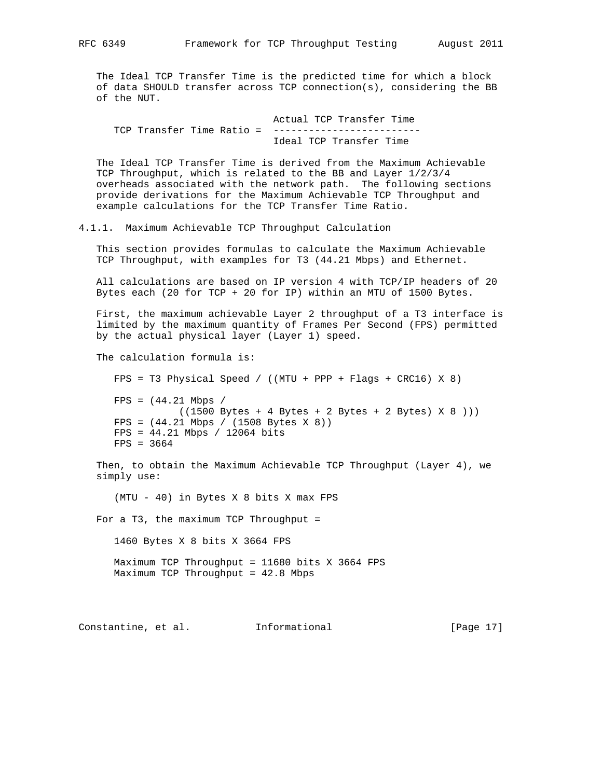The Ideal TCP Transfer Time is the predicted time for which a block of data SHOULD transfer across TCP connection(s), considering the BB of the NUT.

 Actual TCP Transfer Time TCP Transfer Time Ratio = -------------------------Ideal TCP Transfer Time

 The Ideal TCP Transfer Time is derived from the Maximum Achievable TCP Throughput, which is related to the BB and Layer 1/2/3/4 overheads associated with the network path. The following sections provide derivations for the Maximum Achievable TCP Throughput and example calculations for the TCP Transfer Time Ratio.

4.1.1. Maximum Achievable TCP Throughput Calculation

 This section provides formulas to calculate the Maximum Achievable TCP Throughput, with examples for T3 (44.21 Mbps) and Ethernet.

 All calculations are based on IP version 4 with TCP/IP headers of 20 Bytes each (20 for TCP + 20 for IP) within an MTU of 1500 Bytes.

 First, the maximum achievable Layer 2 throughput of a T3 interface is limited by the maximum quantity of Frames Per Second (FPS) permitted by the actual physical layer (Layer 1) speed.

The calculation formula is:

 FPS = T3 Physical Speed / ((MTU + PPP + Flags + CRC16) X 8)  $FPS = (44.21 \text{ Mbps} /$  $((1500 \text{Bytes} + 4 \text{Bytes} + 2 \text{Bytes} + 2 \text{Bytes}) \times 8 ))$  FPS = (44.21 Mbps / (1508 Bytes X 8)) FPS = 44.21 Mbps / 12064 bits FPS = 3664

 Then, to obtain the Maximum Achievable TCP Throughput (Layer 4), we simply use:

(MTU - 40) in Bytes X 8 bits X max FPS

For a T3, the maximum TCP Throughput =

1460 Bytes X 8 bits X 3664 FPS

 Maximum TCP Throughput = 11680 bits X 3664 FPS Maximum TCP Throughput = 42.8 Mbps

Constantine, et al. 1nformational [Page 17]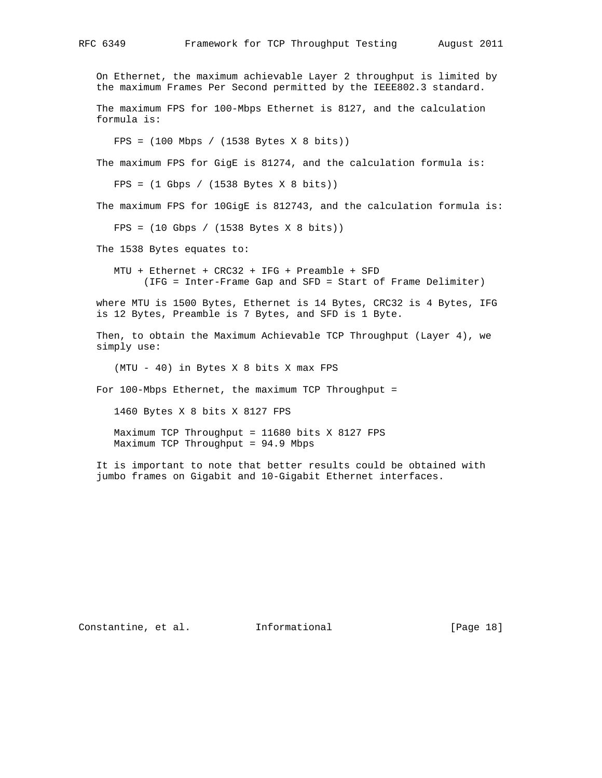On Ethernet, the maximum achievable Layer 2 throughput is limited by the maximum Frames Per Second permitted by the IEEE802.3 standard. The maximum FPS for 100-Mbps Ethernet is 8127, and the calculation formula is: FPS = (100 Mbps / (1538 Bytes X 8 bits)) The maximum FPS for GigE is 81274, and the calculation formula is: FPS = (1 Gbps / (1538 Bytes X 8 bits)) The maximum FPS for 10GigE is 812743, and the calculation formula is: FPS = (10 Gbps / (1538 Bytes X 8 bits)) The 1538 Bytes equates to: MTU + Ethernet + CRC32 + IFG + Preamble + SFD (IFG = Inter-Frame Gap and SFD = Start of Frame Delimiter) where MTU is 1500 Bytes, Ethernet is 14 Bytes, CRC32 is 4 Bytes, IFG is 12 Bytes, Preamble is 7 Bytes, and SFD is 1 Byte. Then, to obtain the Maximum Achievable TCP Throughput (Layer 4), we simply use: (MTU - 40) in Bytes X 8 bits X max FPS For 100-Mbps Ethernet, the maximum TCP Throughput = 1460 Bytes X 8 bits X 8127 FPS Maximum TCP Throughput = 11680 bits X 8127 FPS Maximum TCP Throughput = 94.9 Mbps It is important to note that better results could be obtained with jumbo frames on Gigabit and 10-Gigabit Ethernet interfaces.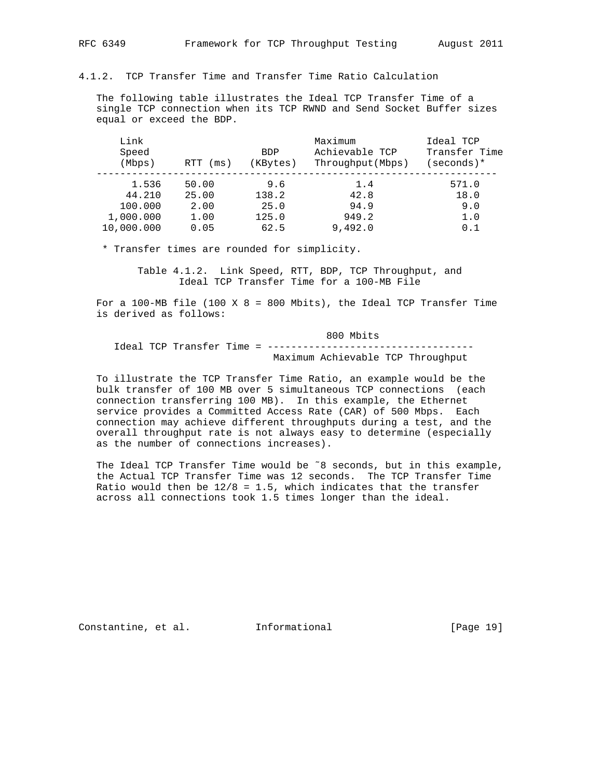#### 4.1.2. TCP Transfer Time and Transfer Time Ratio Calculation

 The following table illustrates the Ideal TCP Transfer Time of a single TCP connection when its TCP RWND and Send Socket Buffer sizes equal or exceed the BDP.

| Link<br>Speed<br>(Mbps) | RTT<br>(ms) | <b>BDP</b><br>(KBytes) | Maximum<br>Achievable TCP<br>Throughput (Mbps) | Ideal TCP<br>Transfer Time<br>(seconds)* |  |
|-------------------------|-------------|------------------------|------------------------------------------------|------------------------------------------|--|
| 1.536                   | 50.00       | 9.6                    | 1.4                                            | 571.0                                    |  |
| 44.210                  | 25.00       | 138.2                  | 42.8                                           | 18.0                                     |  |
| 100.000                 | 2.00        | 25.0                   | 94.9                                           | 9.0                                      |  |
| 1,000.000               | 1.00        | 125.0                  | 949.2                                          | 1.0                                      |  |
| 10,000.000              | 0.05        | 62.5                   | 9.492.0                                        | 0.1                                      |  |

\* Transfer times are rounded for simplicity.

 Table 4.1.2. Link Speed, RTT, BDP, TCP Throughput, and Ideal TCP Transfer Time for a 100-MB File

For a 100-MB file (100 X  $8 = 800$  Mbits), the Ideal TCP Transfer Time is derived as follows:

#### 800 Mbits

 Ideal TCP Transfer Time = ----------------------------------- Maximum Achievable TCP Throughput

 To illustrate the TCP Transfer Time Ratio, an example would be the bulk transfer of 100 MB over 5 simultaneous TCP connections (each connection transferring 100 MB). In this example, the Ethernet service provides a Committed Access Rate (CAR) of 500 Mbps. Each connection may achieve different throughputs during a test, and the overall throughput rate is not always easy to determine (especially as the number of connections increases).

The Ideal TCP Transfer Time would be ~8 seconds, but in this example, the Actual TCP Transfer Time was 12 seconds. The TCP Transfer Time Ratio would then be  $12/8$  = 1.5, which indicates that the transfer across all connections took 1.5 times longer than the ideal.

Constantine, et al. 1nformational [Page 19]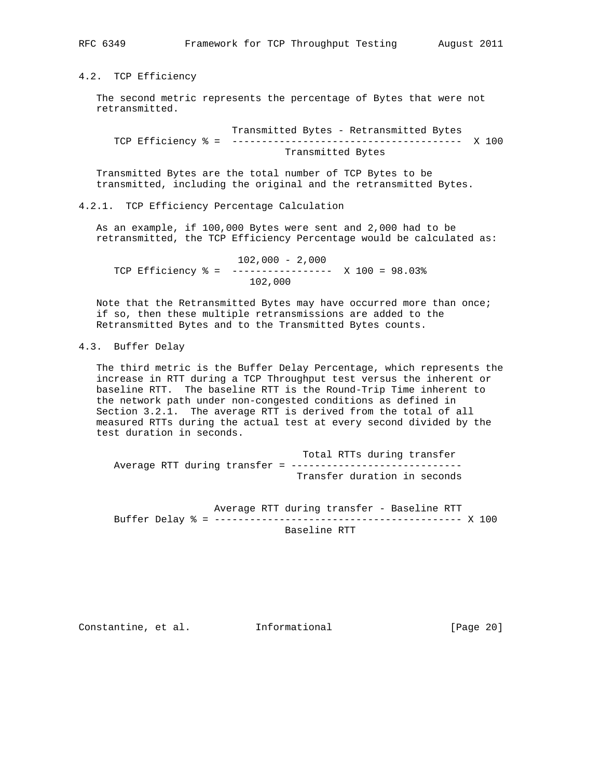4.2. TCP Efficiency

 The second metric represents the percentage of Bytes that were not retransmitted.

 Transmitted Bytes - Retransmitted Bytes TCP Efficiency % = --------------------------------------- X 100 Transmitted Bytes

 Transmitted Bytes are the total number of TCP Bytes to be transmitted, including the original and the retransmitted Bytes.

4.2.1. TCP Efficiency Percentage Calculation

 As an example, if 100,000 Bytes were sent and 2,000 had to be retransmitted, the TCP Efficiency Percentage would be calculated as:

 102,000 - 2,000 TCP Efficiency % = ----------------- X 100 = 98.03% 102,000

Note that the Retransmitted Bytes may have occurred more than once; if so, then these multiple retransmissions are added to the Retransmitted Bytes and to the Transmitted Bytes counts.

## 4.3. Buffer Delay

 The third metric is the Buffer Delay Percentage, which represents the increase in RTT during a TCP Throughput test versus the inherent or baseline RTT. The baseline RTT is the Round-Trip Time inherent to the network path under non-congested conditions as defined in Section 3.2.1. The average RTT is derived from the total of all measured RTTs during the actual test at every second divided by the test duration in seconds.

 Total RTTs during transfer Average RTT during transfer = ------------------------------Transfer duration in seconds

 Average RTT during transfer - Baseline RTT Buffer Delay % = ------------------------------------------ X 100 Baseline RTT

Constantine, et al. Informational [Page 20]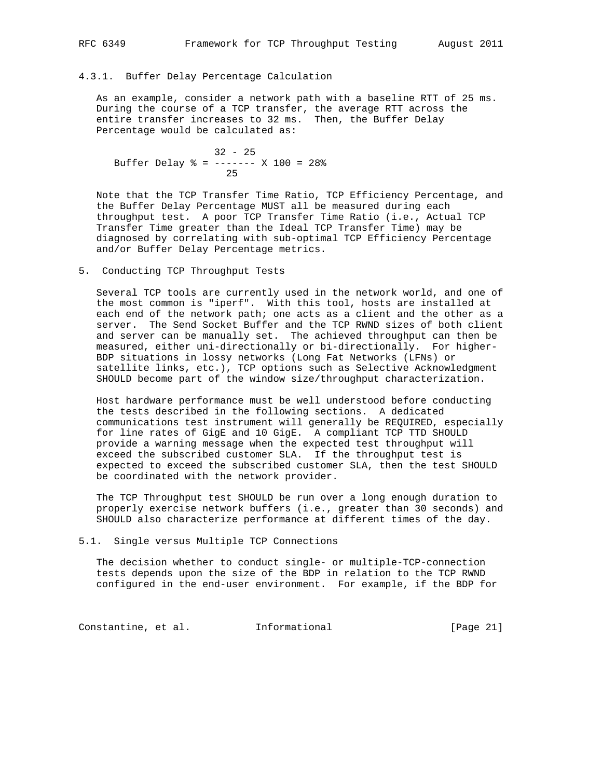## 4.3.1. Buffer Delay Percentage Calculation

 As an example, consider a network path with a baseline RTT of 25 ms. During the course of a TCP transfer, the average RTT across the entire transfer increases to 32 ms. Then, the Buffer Delay Percentage would be calculated as:

 32 - 25 Buffer Delay % = ------- X 100 = 28% <u>25</u>

 Note that the TCP Transfer Time Ratio, TCP Efficiency Percentage, and the Buffer Delay Percentage MUST all be measured during each throughput test. A poor TCP Transfer Time Ratio (i.e., Actual TCP Transfer Time greater than the Ideal TCP Transfer Time) may be diagnosed by correlating with sub-optimal TCP Efficiency Percentage and/or Buffer Delay Percentage metrics.

## 5. Conducting TCP Throughput Tests

 Several TCP tools are currently used in the network world, and one of the most common is "iperf". With this tool, hosts are installed at each end of the network path; one acts as a client and the other as a server. The Send Socket Buffer and the TCP RWND sizes of both client and server can be manually set. The achieved throughput can then be measured, either uni-directionally or bi-directionally. For higher- BDP situations in lossy networks (Long Fat Networks (LFNs) or satellite links, etc.), TCP options such as Selective Acknowledgment SHOULD become part of the window size/throughput characterization.

 Host hardware performance must be well understood before conducting the tests described in the following sections. A dedicated communications test instrument will generally be REQUIRED, especially for line rates of GigE and 10 GigE. A compliant TCP TTD SHOULD provide a warning message when the expected test throughput will exceed the subscribed customer SLA. If the throughput test is expected to exceed the subscribed customer SLA, then the test SHOULD be coordinated with the network provider.

 The TCP Throughput test SHOULD be run over a long enough duration to properly exercise network buffers (i.e., greater than 30 seconds) and SHOULD also characterize performance at different times of the day.

5.1. Single versus Multiple TCP Connections

 The decision whether to conduct single- or multiple-TCP-connection tests depends upon the size of the BDP in relation to the TCP RWND configured in the end-user environment. For example, if the BDP for

Constantine, et al. Informational [Page 21]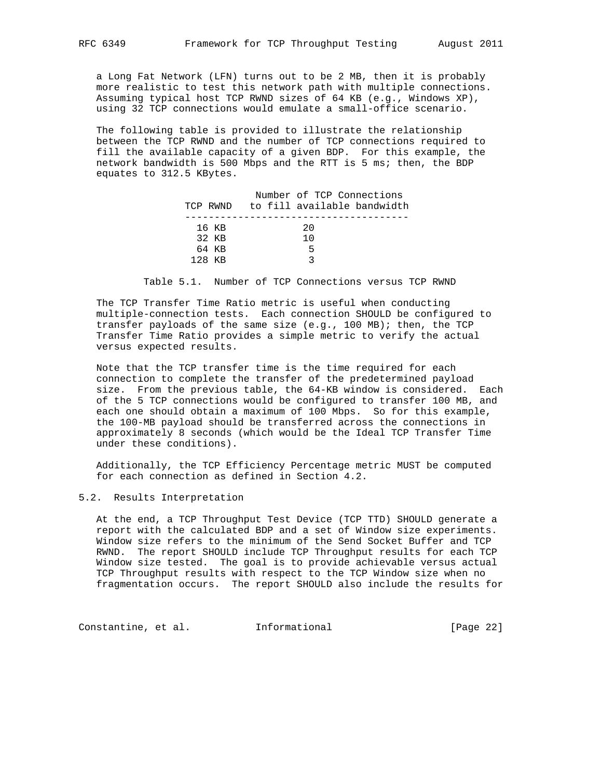a Long Fat Network (LFN) turns out to be 2 MB, then it is probably more realistic to test this network path with multiple connections. Assuming typical host TCP RWND sizes of 64 KB (e.g., Windows XP), using 32 TCP connections would emulate a small-office scenario.

 The following table is provided to illustrate the relationship between the TCP RWND and the number of TCP connections required to fill the available capacity of a given BDP. For this example, the network bandwidth is 500 Mbps and the RTT is 5 ms; then, the BDP equates to 312.5 KBytes.

|          |       | Number of TCP Connections   |  |
|----------|-------|-----------------------------|--|
| TCP RWND |       | to fill available bandwidth |  |
|          |       |                             |  |
|          | 16 KB | 20                          |  |
|          | 32 KB | 1 O                         |  |
|          | 64 KB | .5                          |  |
| 128 KB   |       |                             |  |

Table 5.1. Number of TCP Connections versus TCP RWND

 The TCP Transfer Time Ratio metric is useful when conducting multiple-connection tests. Each connection SHOULD be configured to transfer payloads of the same size (e.g., 100 MB); then, the TCP Transfer Time Ratio provides a simple metric to verify the actual versus expected results.

 Note that the TCP transfer time is the time required for each connection to complete the transfer of the predetermined payload size. From the previous table, the 64-KB window is considered. Each of the 5 TCP connections would be configured to transfer 100 MB, and each one should obtain a maximum of 100 Mbps. So for this example, the 100-MB payload should be transferred across the connections in approximately 8 seconds (which would be the Ideal TCP Transfer Time under these conditions).

 Additionally, the TCP Efficiency Percentage metric MUST be computed for each connection as defined in Section 4.2.

## 5.2. Results Interpretation

 At the end, a TCP Throughput Test Device (TCP TTD) SHOULD generate a report with the calculated BDP and a set of Window size experiments. Window size refers to the minimum of the Send Socket Buffer and TCP RWND. The report SHOULD include TCP Throughput results for each TCP Window size tested. The goal is to provide achievable versus actual TCP Throughput results with respect to the TCP Window size when no fragmentation occurs. The report SHOULD also include the results for

Constantine, et al. 1nformational [Page 22]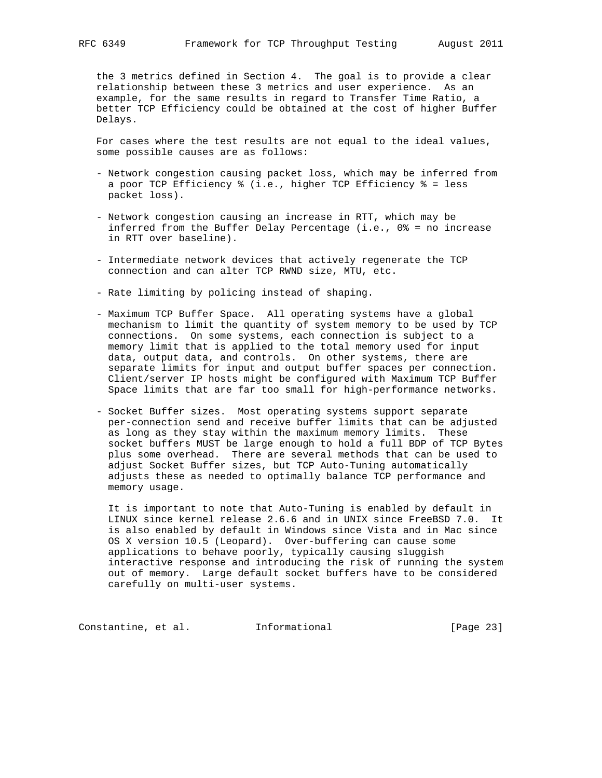the 3 metrics defined in Section 4. The goal is to provide a clear relationship between these 3 metrics and user experience. As an example, for the same results in regard to Transfer Time Ratio, a better TCP Efficiency could be obtained at the cost of higher Buffer Delays.

 For cases where the test results are not equal to the ideal values, some possible causes are as follows:

- Network congestion causing packet loss, which may be inferred from a poor TCP Efficiency % (i.e., higher TCP Efficiency % = less packet loss).
- Network congestion causing an increase in RTT, which may be inferred from the Buffer Delay Percentage (i.e., 0% = no increase in RTT over baseline).
- Intermediate network devices that actively regenerate the TCP connection and can alter TCP RWND size, MTU, etc.
- Rate limiting by policing instead of shaping.
- Maximum TCP Buffer Space. All operating systems have a global mechanism to limit the quantity of system memory to be used by TCP connections. On some systems, each connection is subject to a memory limit that is applied to the total memory used for input data, output data, and controls. On other systems, there are separate limits for input and output buffer spaces per connection. Client/server IP hosts might be configured with Maximum TCP Buffer Space limits that are far too small for high-performance networks.
- Socket Buffer sizes. Most operating systems support separate per-connection send and receive buffer limits that can be adjusted as long as they stay within the maximum memory limits. These socket buffers MUST be large enough to hold a full BDP of TCP Bytes plus some overhead. There are several methods that can be used to adjust Socket Buffer sizes, but TCP Auto-Tuning automatically adjusts these as needed to optimally balance TCP performance and memory usage.

 It is important to note that Auto-Tuning is enabled by default in LINUX since kernel release 2.6.6 and in UNIX since FreeBSD 7.0. It is also enabled by default in Windows since Vista and in Mac since OS X version 10.5 (Leopard). Over-buffering can cause some applications to behave poorly, typically causing sluggish interactive response and introducing the risk of running the system out of memory. Large default socket buffers have to be considered carefully on multi-user systems.

Constantine, et al. 1nformational [Page 23]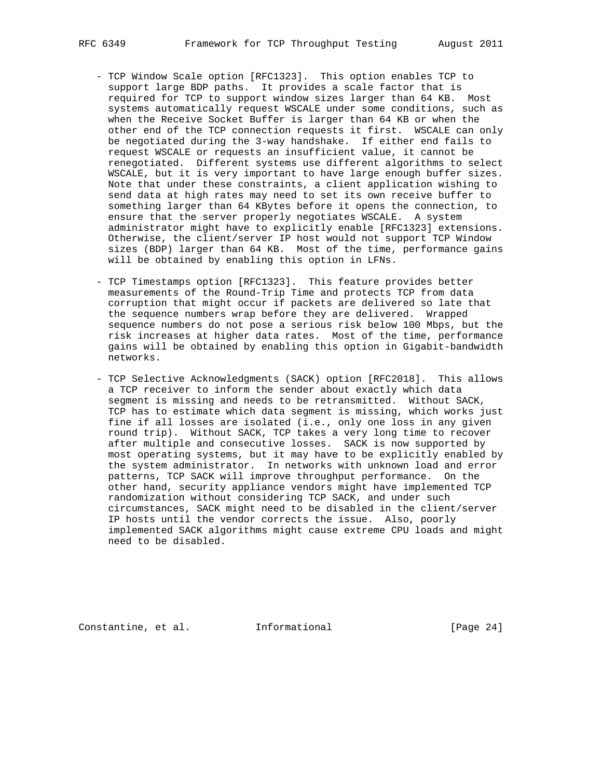- TCP Window Scale option [RFC1323]. This option enables TCP to support large BDP paths. It provides a scale factor that is required for TCP to support window sizes larger than 64 KB. Most systems automatically request WSCALE under some conditions, such as when the Receive Socket Buffer is larger than 64 KB or when the other end of the TCP connection requests it first. WSCALE can only be negotiated during the 3-way handshake. If either end fails to request WSCALE or requests an insufficient value, it cannot be renegotiated. Different systems use different algorithms to select WSCALE, but it is very important to have large enough buffer sizes. Note that under these constraints, a client application wishing to send data at high rates may need to set its own receive buffer to something larger than 64 KBytes before it opens the connection, to ensure that the server properly negotiates WSCALE. A system administrator might have to explicitly enable [RFC1323] extensions. Otherwise, the client/server IP host would not support TCP Window sizes (BDP) larger than 64 KB. Most of the time, performance gains will be obtained by enabling this option in LFNs.
- TCP Timestamps option [RFC1323]. This feature provides better measurements of the Round-Trip Time and protects TCP from data corruption that might occur if packets are delivered so late that the sequence numbers wrap before they are delivered. Wrapped sequence numbers do not pose a serious risk below 100 Mbps, but the risk increases at higher data rates. Most of the time, performance gains will be obtained by enabling this option in Gigabit-bandwidth networks.
- TCP Selective Acknowledgments (SACK) option [RFC2018]. This allows a TCP receiver to inform the sender about exactly which data segment is missing and needs to be retransmitted. Without SACK, TCP has to estimate which data segment is missing, which works just fine if all losses are isolated (i.e., only one loss in any given round trip). Without SACK, TCP takes a very long time to recover after multiple and consecutive losses. SACK is now supported by most operating systems, but it may have to be explicitly enabled by the system administrator. In networks with unknown load and error patterns, TCP SACK will improve throughput performance. On the other hand, security appliance vendors might have implemented TCP randomization without considering TCP SACK, and under such circumstances, SACK might need to be disabled in the client/server IP hosts until the vendor corrects the issue. Also, poorly implemented SACK algorithms might cause extreme CPU loads and might need to be disabled.

Constantine, et al. Informational [Page 24]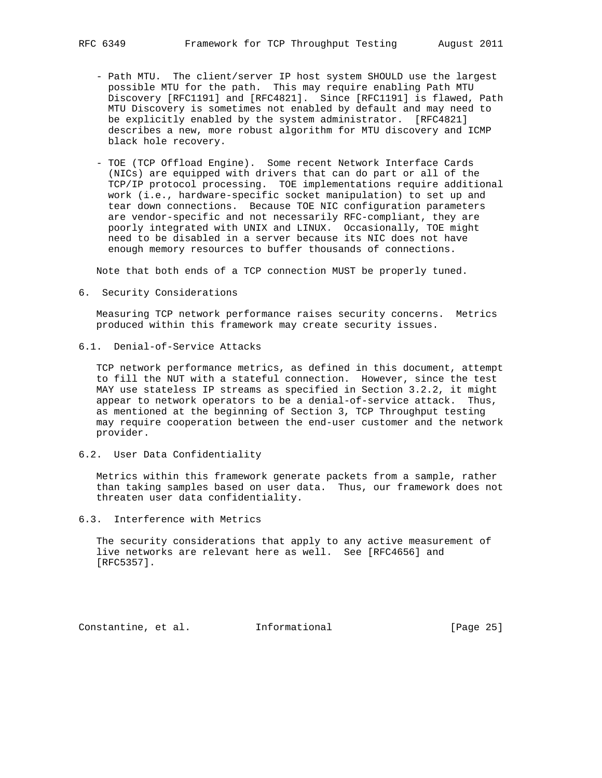- Path MTU. The client/server IP host system SHOULD use the largest possible MTU for the path. This may require enabling Path MTU Discovery [RFC1191] and [RFC4821]. Since [RFC1191] is flawed, Path MTU Discovery is sometimes not enabled by default and may need to be explicitly enabled by the system administrator. [RFC4821] describes a new, more robust algorithm for MTU discovery and ICMP black hole recovery.
- TOE (TCP Offload Engine). Some recent Network Interface Cards (NICs) are equipped with drivers that can do part or all of the TCP/IP protocol processing. TOE implementations require additional work (i.e., hardware-specific socket manipulation) to set up and tear down connections. Because TOE NIC configuration parameters are vendor-specific and not necessarily RFC-compliant, they are poorly integrated with UNIX and LINUX. Occasionally, TOE might need to be disabled in a server because its NIC does not have enough memory resources to buffer thousands of connections.

Note that both ends of a TCP connection MUST be properly tuned.

6. Security Considerations

 Measuring TCP network performance raises security concerns. Metrics produced within this framework may create security issues.

6.1. Denial-of-Service Attacks

 TCP network performance metrics, as defined in this document, attempt to fill the NUT with a stateful connection. However, since the test MAY use stateless IP streams as specified in Section 3.2.2, it might appear to network operators to be a denial-of-service attack. Thus, as mentioned at the beginning of Section 3, TCP Throughput testing may require cooperation between the end-user customer and the network provider.

6.2. User Data Confidentiality

 Metrics within this framework generate packets from a sample, rather than taking samples based on user data. Thus, our framework does not threaten user data confidentiality.

6.3. Interference with Metrics

 The security considerations that apply to any active measurement of live networks are relevant here as well. See [RFC4656] and [RFC5357].

Constantine, et al. Informational [Page 25]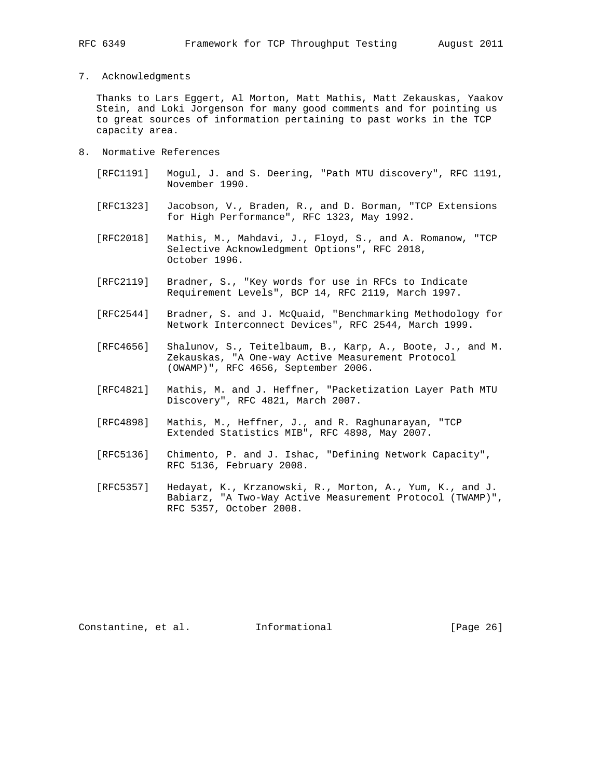## 7. Acknowledgments

 Thanks to Lars Eggert, Al Morton, Matt Mathis, Matt Zekauskas, Yaakov Stein, and Loki Jorgenson for many good comments and for pointing us to great sources of information pertaining to past works in the TCP capacity area.

- 8. Normative References
	- [RFC1191] Mogul, J. and S. Deering, "Path MTU discovery", RFC 1191, November 1990.
	- [RFC1323] Jacobson, V., Braden, R., and D. Borman, "TCP Extensions for High Performance", RFC 1323, May 1992.
	- [RFC2018] Mathis, M., Mahdavi, J., Floyd, S., and A. Romanow, "TCP Selective Acknowledgment Options", RFC 2018, October 1996.
	- [RFC2119] Bradner, S., "Key words for use in RFCs to Indicate Requirement Levels", BCP 14, RFC 2119, March 1997.
	- [RFC2544] Bradner, S. and J. McQuaid, "Benchmarking Methodology for Network Interconnect Devices", RFC 2544, March 1999.
	- [RFC4656] Shalunov, S., Teitelbaum, B., Karp, A., Boote, J., and M. Zekauskas, "A One-way Active Measurement Protocol (OWAMP)", RFC 4656, September 2006.
	- [RFC4821] Mathis, M. and J. Heffner, "Packetization Layer Path MTU Discovery", RFC 4821, March 2007.
	- [RFC4898] Mathis, M., Heffner, J., and R. Raghunarayan, "TCP Extended Statistics MIB", RFC 4898, May 2007.
	- [RFC5136] Chimento, P. and J. Ishac, "Defining Network Capacity", RFC 5136, February 2008.
	- [RFC5357] Hedayat, K., Krzanowski, R., Morton, A., Yum, K., and J. Babiarz, "A Two-Way Active Measurement Protocol (TWAMP)", RFC 5357, October 2008.